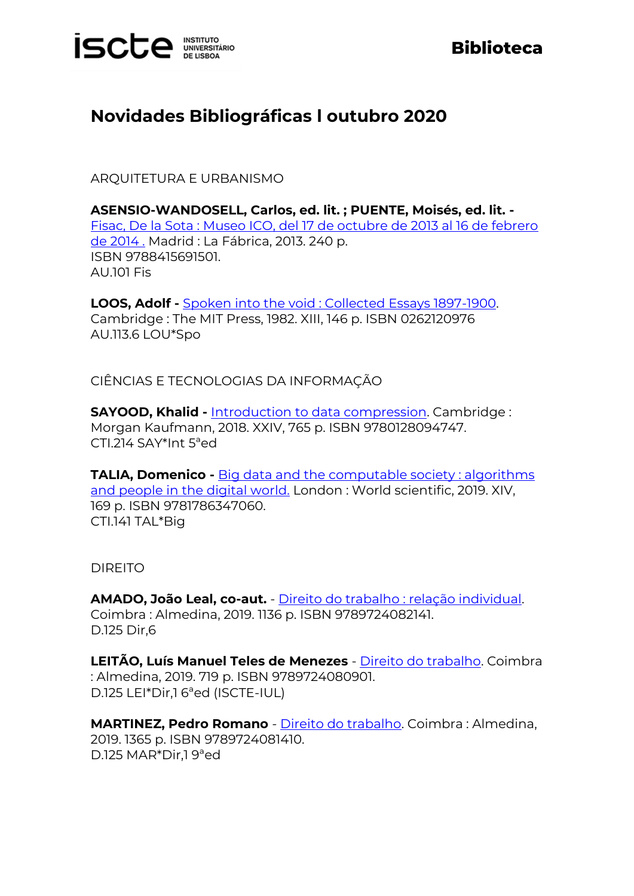

## **Biblioteca**

## **Novidades Bibliográficas l outubro 2020**

ARQUITETURA E URBANISMO

**ASENSIO-WANDOSELL, Carlos, ed. lit. ; PUENTE, Moisés, ed. lit. -** [Fisac, De la Sota : Museo ICO, del 17 de octubre de 2013 al 16 de febrero](https://catalogo.biblioteca.iscte-iul.pt/cgi-bin/koha/opac-detail.pl?biblionumber=107416)  [de 2014 .](https://catalogo.biblioteca.iscte-iul.pt/cgi-bin/koha/opac-detail.pl?biblionumber=107416) Madrid : La Fábrica, 2013. 240 p. ISBN 9788415691501. AU.101 Fis

**LOOS, Adolf -** [Spoken into the void : Collected Essays 1897-1900.](https://catalogo.biblioteca.iscte-iul.pt/cgi-bin/koha/opac-detail.pl?biblionumber=103716) Cambridge : The MIT Press, 1982. XIII, 146 p. ISBN 0262120976 AU.113.6 LOU\*Spo

CIÊNCIAS E TECNOLOGIAS DA INFORMAÇÃO

**SAYOOD, Khalid - [Introduction to data compression.](https://catalogo.biblioteca.iscte-iul.pt/cgi-bin/koha/opac-detail.pl?biblionumber=107235) Cambridge:** Morgan Kaufmann, 2018. XXIV, 765 p. ISBN 9780128094747. CTI.214 SAY\*Int 5ªed

**TALIA, Domenico -** [Big data and the computable society : algorithms](https://catalogo.biblioteca.iscte-iul.pt/cgi-bin/koha/opac-detail.pl?biblionumber=107241)  [and people in the digital world.](https://catalogo.biblioteca.iscte-iul.pt/cgi-bin/koha/opac-detail.pl?biblionumber=107241) London : World scientific, 2019. XIV, 169 p. ISBN 9781786347060. CTI.141 TAL\*Big

DIREITO

**AMADO, João Leal, co-aut.** - [Direito do trabalho : relação individual.](https://catalogo.biblioteca.iscte-iul.pt/cgi-bin/koha/opac-detail.pl?biblionumber=107415) Coimbra : Almedina, 2019. 1136 p. ISBN 9789724082141. D.125 Dir,6

**LEITÃO, Luís Manuel Teles de Menezes** - [Direito do trabalho.](https://catalogo.biblioteca.iscte-iul.pt/cgi-bin/koha/opac-detail.pl?biblionumber=107414) Coimbra : Almedina, 2019. 719 p. ISBN 9789724080901. D.125 LEI\*Dir,1 6ªed (ISCTE-IUL)

**MARTINEZ, Pedro Romano** - [Direito do trabalho.](https://catalogo.biblioteca.iscte-iul.pt/cgi-bin/koha/opac-detail.pl?biblionumber=107413) Coimbra : Almedina, 2019. 1365 p. ISBN 9789724081410. D.125 MAR\*Dir,1 9ªed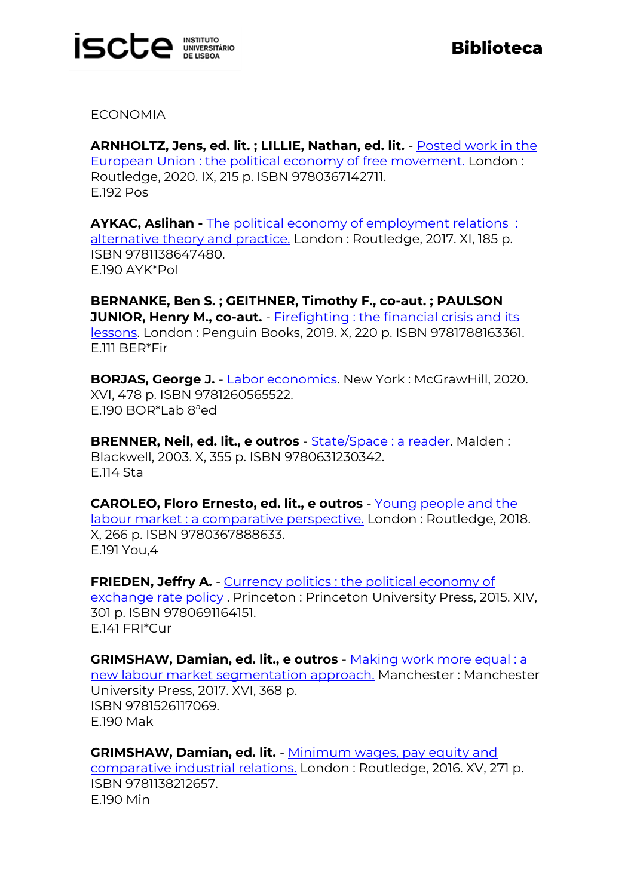

ECONOMIA

**ARNHOLTZ, Jens, ed. lit. ; LILLIE, Nathan, ed. lit.** - [Posted work in the](https://catalogo.biblioteca.iscte-iul.pt/cgi-bin/koha/opac-detail.pl?biblionumber=107361)  [European Union : the political economy of free movement.](https://catalogo.biblioteca.iscte-iul.pt/cgi-bin/koha/opac-detail.pl?biblionumber=107361) London : Routledge, 2020. IX, 215 p. ISBN 9780367142711. E.192 Pos

**AYKAC, Aslihan -** [The political economy of employment relations](https://catalogo.biblioteca.iscte-iul.pt/cgi-bin/koha/opac-detail.pl?biblionumber=107312) : [alternative theory and practice.](https://catalogo.biblioteca.iscte-iul.pt/cgi-bin/koha/opac-detail.pl?biblionumber=107312) London : Routledge, 2017. XI, 185 p. ISBN 9781138647480. E.190 AYK\*Pol

**BERNANKE, Ben S. ; GEITHNER, Timothy F., co-aut. ; PAULSON JUNIOR, Henry M., co-aut.** - Firefighting : the financial crisis and its [lessons.](https://catalogo.biblioteca.iscte-iul.pt/cgi-bin/koha/opac-detail.pl?biblionumber=107355) London : Penguin Books, 2019. X, 220 p. ISBN 9781788163361. E.111 BER\*Fir

**BORJAS, George J.** - [Labor economics.](https://catalogo.biblioteca.iscte-iul.pt/cgi-bin/koha/opac-detail.pl?biblionumber=107393) New York : McGrawHill, 2020. XVI, 478 p. ISBN 9781260565522. E.190 BOR\*Lab 8ªed

**BRENNER, Neil, ed. lit., e outros** - [State/Space : a reader.](https://catalogo.biblioteca.iscte-iul.pt/cgi-bin/koha/opac-detail.pl?biblionumber=107353) Malden : Blackwell, 2003. X, 355 p. ISBN 9780631230342. E.114 Sta

**CAROLEO, Floro Ernesto, ed. lit., e outros** - Young people and the [labour market : a comparative perspective.](https://catalogo.biblioteca.iscte-iul.pt/cgi-bin/koha/opac-detail.pl?biblionumber=107352) London : Routledge, 2018. X, 266 p. ISBN 9780367888633. E.191 You,4

**FRIEDEN. Jeffry A.** - Currency politics : the political economy of [exchange rate policy](https://catalogo.biblioteca.iscte-iul.pt/cgi-bin/koha/opac-detail.pl?biblionumber=107387). Princeton: Princeton University Press, 2015. XIV, 301 p. ISBN 9780691164151. E.141 FRI\*Cur

**GRIMSHAW, Damian, ed. lit., e outros** - Making work more equal: a [new labour market segmentation approach.](https://catalogo.biblioteca.iscte-iul.pt/cgi-bin/koha/opac-detail.pl?biblionumber=107358) Manchester : Manchester University Press, 2017. XVI, 368 p. ISBN 9781526117069. E.190 Mak

**GRIMSHAW, Damian, ed. lit.** - [Minimum wages, pay equity and](https://catalogo.biblioteca.iscte-iul.pt/cgi-bin/koha/opac-detail.pl?biblionumber=107357)  [comparative industrial relations.](https://catalogo.biblioteca.iscte-iul.pt/cgi-bin/koha/opac-detail.pl?biblionumber=107357) London : Routledge, 2016. XV, 271 p. ISBN 9781138212657. E.190 Min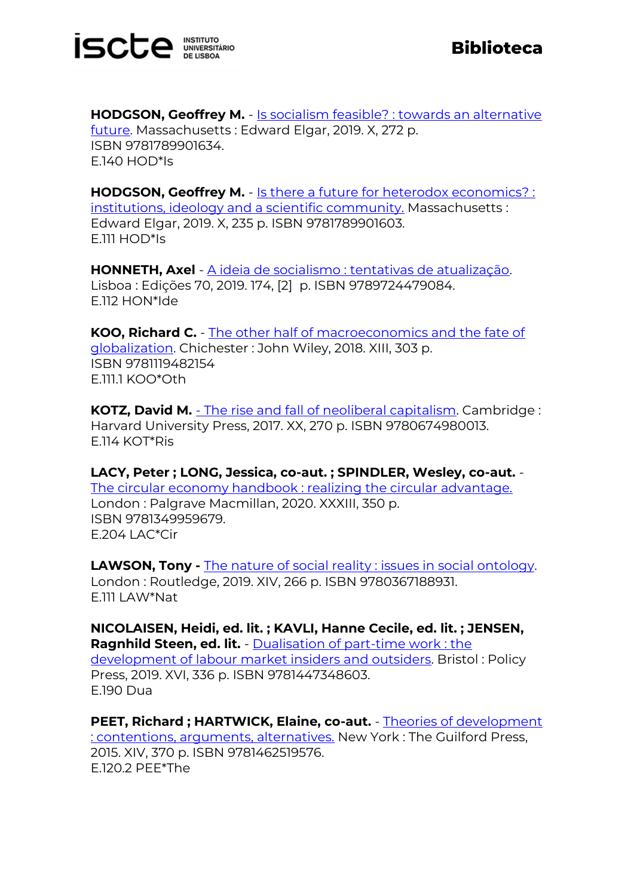

**HODGSON, Geoffrey M. - Is socialism feasible? : towards an alternative** [future.](https://catalogo.biblioteca.iscte-iul.pt/cgi-bin/koha/opac-detail.pl?biblionumber=107243) Massachusetts : Edward Elgar, 2019. X, 272 p. ISBN 9781789901634. E.140 HOD\*Is

**HODGSON, Geoffrey M.** - [Is there a future for heterodox economics? :](https://catalogo.biblioteca.iscte-iul.pt/cgi-bin/koha/opac-detail.pl?biblionumber=107244)  [institutions, ideology and a scientific community.](https://catalogo.biblioteca.iscte-iul.pt/cgi-bin/koha/opac-detail.pl?biblionumber=107244) Massachusetts : Edward Elgar, 2019. X, 235 p. ISBN 9781789901603. E.111 HOD\*Is

**HONNETH, Axel** - [A ideia de socialismo : tentativas de atualização.](https://catalogo.biblioteca.iscte-iul.pt/cgi-bin/koha/opac-detail.pl?biblionumber=107282) Lisboa : Edições 70, 2019. 174, [2] p. ISBN 9789724479084. E.112 HON\*Ide

**KOO, Richard C.** - [The other half of macroeconomics and the fate of](https://catalogo.biblioteca.iscte-iul.pt/cgi-bin/koha/opac-detail.pl?biblionumber=107364)  [globalization.](https://catalogo.biblioteca.iscte-iul.pt/cgi-bin/koha/opac-detail.pl?biblionumber=107364) Chichester : John Wiley, 2018. XIII, 303 p. ISBN 9781119482154 E.111.1 KOO\*Oth

**KOTZ, David M.** - [The rise and fall of neoliberal capitalism.](https://catalogo.biblioteca.iscte-iul.pt/cgi-bin/koha/opac-detail.pl?biblionumber=107410) Cambridge : Harvard University Press, 2017. XX, 270 p. ISBN 9780674980013. E.114 KOT\*Ris

**LACY, Peter ; LONG, Jessica, co-aut. ; SPINDLER, Wesley, co-aut.** - [The circular economy handbook : realizing the circular advantage.](https://catalogo.biblioteca.iscte-iul.pt/cgi-bin/koha/opac-detail.pl?biblionumber=107307) London : Palgrave Macmillan, 2020. XXXIII, 350 p. ISBN 9781349959679. E.204 LAC\*Cir

**LAWSON, Tony -** [The nature of social reality : issues in social ontology.](https://catalogo.biblioteca.iscte-iul.pt/cgi-bin/koha/opac-detail.pl?biblionumber=107324) London : Routledge, 2019. XIV, 266 p. ISBN 9780367188931. E.111 LAW\*Nat

**NICOLAISEN, Heidi, ed. lit. ; KAVLI, Hanne Cecile, ed. lit. ; JENSEN, Ragnhild Steen, ed. lit.** - [Dualisation of part-time work : the](https://catalogo.biblioteca.iscte-iul.pt/cgi-bin/koha/opac-detail.pl?biblionumber=107407)  [development of labour market insiders and outsiders.](https://catalogo.biblioteca.iscte-iul.pt/cgi-bin/koha/opac-detail.pl?biblionumber=107407) Bristol : Policy Press, 2019. XVI, 336 p. ISBN 9781447348603. E.190 Dua

**PEET, Richard ; HARTWICK, Elaine, co-aut.** - [Theories of development](https://catalogo.biblioteca.iscte-iul.pt/cgi-bin/koha/opac-detail.pl?biblionumber=107313)  [: contentions, arguments, alternatives.](https://catalogo.biblioteca.iscte-iul.pt/cgi-bin/koha/opac-detail.pl?biblionumber=107313) New York : The Guilford Press, 2015. XIV, 370 p. ISBN 9781462519576. E.120.2 PEE\*The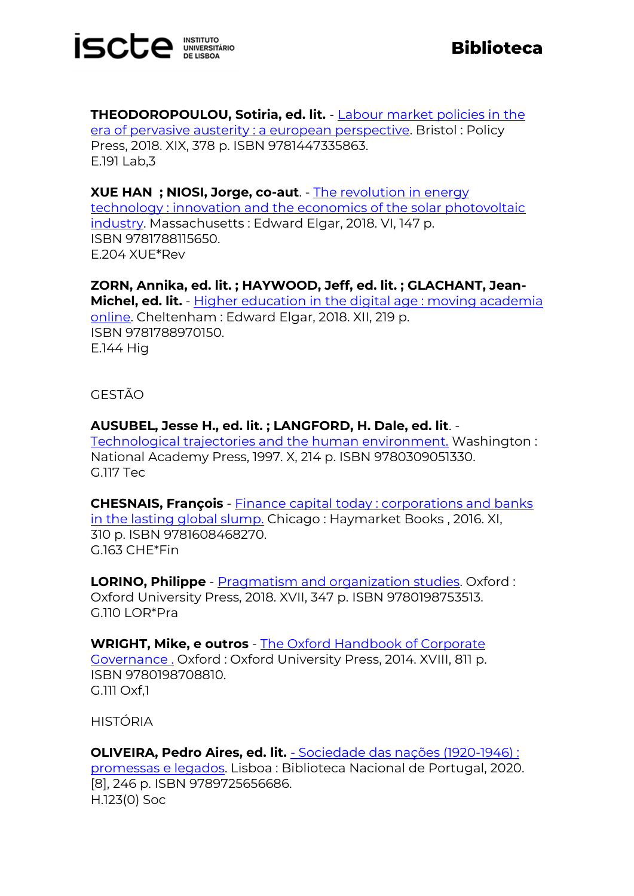

**THEODOROPOULOU, Sotiria, ed. lit.** - [Labour market policies in the](https://catalogo.biblioteca.iscte-iul.pt/cgi-bin/koha/opac-detail.pl?biblionumber=107411)  [era of pervasive austerity : a european perspective.](https://catalogo.biblioteca.iscte-iul.pt/cgi-bin/koha/opac-detail.pl?biblionumber=107411) Bristol : Policy Press, 2018. XIX, 378 p. ISBN 9781447335863. E.191 Lab,3

**XUE HAN ; NIOSI, Jorge, co-aut**. - [The revolution in energy](https://catalogo.biblioteca.iscte-iul.pt/cgi-bin/koha/opac-detail.pl?biblionumber=107245)  [technology : innovation and the economics of the solar photovoltaic](https://catalogo.biblioteca.iscte-iul.pt/cgi-bin/koha/opac-detail.pl?biblionumber=107245)  [industry.](https://catalogo.biblioteca.iscte-iul.pt/cgi-bin/koha/opac-detail.pl?biblionumber=107245) Massachusetts : Edward Elgar, 2018. VI, 147 p. ISBN 9781788115650. E.204 XUE\*Rev

**ZORN, Annika, ed. lit. ; HAYWOOD, Jeff, ed. lit. ; GLACHANT, Jean-Michel, ed. lit.** - [Higher education in the digital age : moving academia](https://catalogo.biblioteca.iscte-iul.pt/cgi-bin/koha/opac-detail.pl?biblionumber=107246)  [online.](https://catalogo.biblioteca.iscte-iul.pt/cgi-bin/koha/opac-detail.pl?biblionumber=107246) Cheltenham : Edward Elgar, 2018. XII, 219 p. ISBN 9781788970150. E.144 Hig

## GESTÃO

**AUSUBEL, Jesse H., ed. lit. ; LANGFORD, H. Dale, ed. lit**. - [Technological trajectories and the human environment.](https://catalogo.biblioteca.iscte-iul.pt/cgi-bin/koha/opac-detail.pl?biblionumber=107242) Washington : National Academy Press, 1997. X, 214 p. ISBN 9780309051330. G.117 Tec

**CHESNAIS, François** - [Finance capital today : corporations and banks](https://catalogo.biblioteca.iscte-iul.pt/cgi-bin/koha/opac-detail.pl?biblionumber=107402)  [in the lasting global slump.](https://catalogo.biblioteca.iscte-iul.pt/cgi-bin/koha/opac-detail.pl?biblionumber=107402) Chicago : Haymarket Books , 2016. XI, 310 p. ISBN 9781608468270. G.163 CHE\*Fin

**LORINO, Philippe** - [Pragmatism and organization studies.](https://catalogo.biblioteca.iscte-iul.pt/cgi-bin/koha/opac-detail.pl?biblionumber=107389) Oxford : Oxford University Press, 2018. XVII, 347 p. ISBN 9780198753513. G.110 LOR\*Pra

**WRIGHT, Mike, e outros** - [The Oxford Handbook of Corporate](https://catalogo.biblioteca.iscte-iul.pt/cgi-bin/koha/opac-detail.pl?biblionumber=107397)  [Governance .](https://catalogo.biblioteca.iscte-iul.pt/cgi-bin/koha/opac-detail.pl?biblionumber=107397) Oxford : Oxford University Press, 2014. XVIII, 811 p. ISBN 9780198708810. G.111 Oxf,1

HISTÓRIA

**OLIVEIRA, Pedro Aires, ed. lit.** - [Sociedade das nações \(1920-1946\) :](https://catalogo.biblioteca.iscte-iul.pt/cgi-bin/koha/opac-detail.pl?biblionumber=107253)  [promessas e legados.](https://catalogo.biblioteca.iscte-iul.pt/cgi-bin/koha/opac-detail.pl?biblionumber=107253) Lisboa : Biblioteca Nacional de Portugal, 2020. [8], 246 p. ISBN 9789725656686. H.123(0) Soc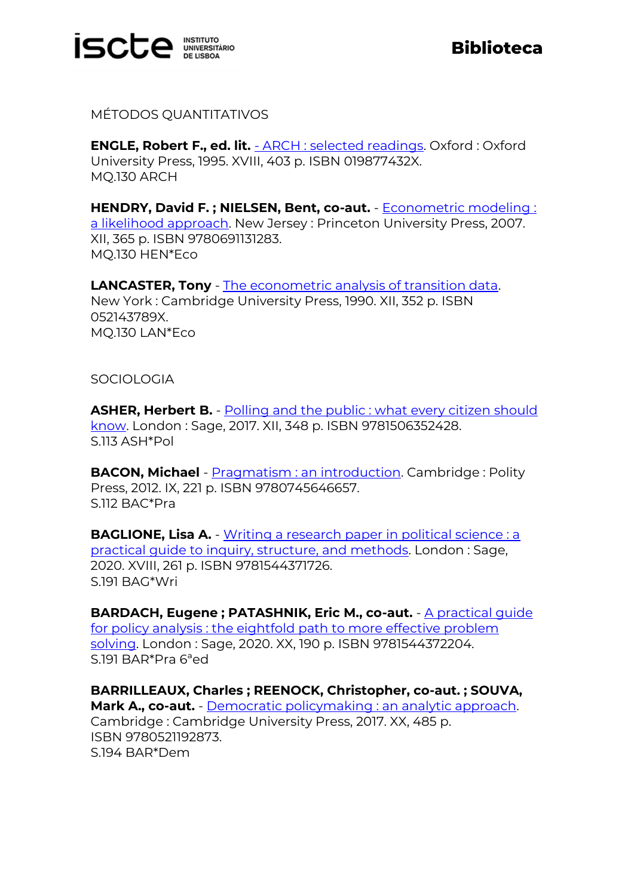

MÉTODOS QUANTITATIVOS

**ENGLE, Robert F., ed. lit.** - [ARCH : selected readings.](https://catalogo.biblioteca.iscte-iul.pt/cgi-bin/koha/opac-detail.pl?biblionumber=106881) Oxford : Oxford University Press, 1995. XVIII, 403 p. ISBN 019877432X. MQ.130 ARCH

**HENDRY, David F. ; NIELSEN, Bent, co-aut.** - [Econometric modeling :](https://catalogo.biblioteca.iscte-iul.pt/cgi-bin/koha/opac-detail.pl?biblionumber=106880)  [a likelihood approach.](https://catalogo.biblioteca.iscte-iul.pt/cgi-bin/koha/opac-detail.pl?biblionumber=106880) New Jersey : Princeton University Press, 2007. XII, 365 p. ISBN 9780691131283. MQ.130 HEN\*Eco

**LANCASTER, Tony** - [The econometric analysis of transition data.](https://catalogo.biblioteca.iscte-iul.pt/cgi-bin/koha/opac-detail.pl?biblionumber=106878) New York : Cambridge University Press, 1990. XII, 352 p. ISBN 052143789X. MQ.130 LAN\*Eco

**SOCIOLOGIA** 

**ASHER, Herbert B.** - Polling and the public : what every citizen should [know.](https://catalogo.biblioteca.iscte-iul.pt/cgi-bin/koha/opac-detail.pl?biblionumber=107236) London : Sage, 2017. XII, 348 p. ISBN 9781506352428. S.113 ASH\*Pol

**BACON, Michael** - **Pragmatism : an introduction**. Cambridge : Polity Press, 2012. IX, 221 p. ISBN 9780745646657. S.112 BAC\*Pra

**BAGLIONE, Lisa A.** - Writing a research paper in political science : a [practical guide to inquiry, structure, and methods.](https://catalogo.biblioteca.iscte-iul.pt/cgi-bin/koha/opac-detail.pl?biblionumber=107239) London : Sage, 2020. XVIII, 261 p. ISBN 9781544371726. S.191 BAG\*Wri

**BARDACH, Eugene ; PATASHNIK, Eric M., co-aut.** - [A practical guide](https://catalogo.biblioteca.iscte-iul.pt/cgi-bin/koha/opac-detail.pl?biblionumber=107238)  [for policy analysis : the eightfold path to more effective problem](https://catalogo.biblioteca.iscte-iul.pt/cgi-bin/koha/opac-detail.pl?biblionumber=107238)  [solving.](https://catalogo.biblioteca.iscte-iul.pt/cgi-bin/koha/opac-detail.pl?biblionumber=107238) London : Sage, 2020. XX, 190 p. ISBN 9781544372204. S.191 BAR\*Pra 6ªed

**BARRILLEAUX, Charles ; REENOCK, Christopher, co-aut. ; SOUVA, Mark A., co-aut.** - [Democratic policymaking : an analytic approach.](https://catalogo.biblioteca.iscte-iul.pt/cgi-bin/koha/opac-detail.pl?biblionumber=107394) Cambridge : Cambridge University Press, 2017. XX, 485 p. ISBN 9780521192873. S.194 BAR\*Dem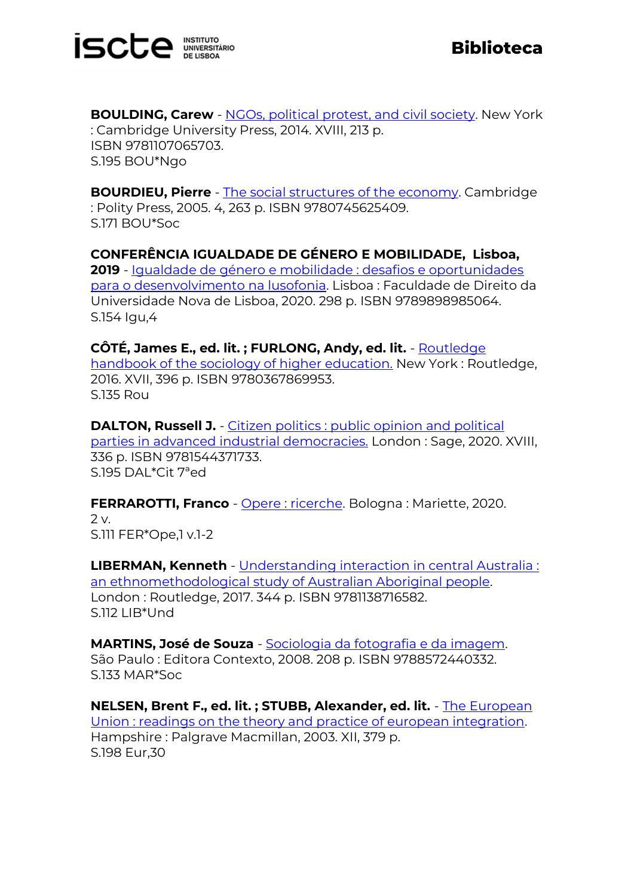

**BOULDING, Carew** - [NGOs, political protest, and civil society.](https://catalogo.biblioteca.iscte-iul.pt/cgi-bin/koha/opac-detail.pl?biblionumber=107237) New York : Cambridge University Press, 2014. XVIII, 213 p. ISBN 9781107065703. S.195 BOU\*Ngo

**BOURDIEU, Pierre** - [The social structures of the economy.](https://catalogo.biblioteca.iscte-iul.pt/cgi-bin/koha/opac-detail.pl?biblionumber=107356) Cambridge : Polity Press, 2005. 4, 263 p. ISBN 9780745625409. S.171 BOU\*Soc

**CONFERÊNCIA IGUALDADE DE GÉNERO E MOBILIDADE, Lisboa, 2019** - [Igualdade de género e mobilidade : desafios e oportunidades](https://catalogo.biblioteca.iscte-iul.pt/cgi-bin/koha/opac-detail.pl?biblionumber=107255)  [para o desenvolvimento na lusofonia.](https://catalogo.biblioteca.iscte-iul.pt/cgi-bin/koha/opac-detail.pl?biblionumber=107255) Lisboa : Faculdade de Direito da Universidade Nova de Lisboa, 2020. 298 p. ISBN 9789898985064. S.154 Igu,4

**CÔTÉ, James E., ed. lit. ; FURLONG, Andy, ed. lit.** - [Routledge](https://catalogo.biblioteca.iscte-iul.pt/cgi-bin/koha/opac-detail.pl?biblionumber=107363)  [handbook of the sociology of higher education.](https://catalogo.biblioteca.iscte-iul.pt/cgi-bin/koha/opac-detail.pl?biblionumber=107363) New York : Routledge, 2016. XVII, 396 p. ISBN 9780367869953. S.135 Rou

**DALTON, Russell J.** - Citizen politics : public opinion and political [parties in advanced industrial democracies.](https://catalogo.biblioteca.iscte-iul.pt/cgi-bin/koha/opac-detail.pl?biblionumber=107240) London : Sage, 2020. XVIII, 336 p. ISBN 9781544371733. S.195 DAL\*Cit 7ªed

**FERRAROTTI, Franco** - [Opere : ricerche.](https://catalogo.biblioteca.iscte-iul.pt/cgi-bin/koha/opac-detail.pl?biblionumber=107252) Bologna : Mariette, 2020. 2 v. S.111 FER\*Ope,1 v.1-2

**LIBERMAN, Kenneth** - [Understanding interaction in central Australia :](https://catalogo.biblioteca.iscte-iul.pt/cgi-bin/koha/opac-detail.pl?biblionumber=107308)  [an ethnomethodological study of Australian Aboriginal people.](https://catalogo.biblioteca.iscte-iul.pt/cgi-bin/koha/opac-detail.pl?biblionumber=107308) London : Routledge, 2017. 344 p. ISBN 9781138716582. S.112 LIB\*Und

**MARTINS, José de Souza** - [Sociologia da fotografia e da imagem.](https://catalogo.biblioteca.iscte-iul.pt/cgi-bin/koha/opac-detail.pl?biblionumber=107418)  São Paulo : Editora Contexto, 2008. 208 p. ISBN 9788572440332. S.133 MAR\*Soc

**NELSEN, Brent F., ed. lit. ; STUBB, Alexander, ed. lit.** - [The European](https://catalogo.biblioteca.iscte-iul.pt/cgi-bin/koha/opac-detail.pl?biblionumber=104753)  [Union : readings on the theory and practice of european integration.](https://catalogo.biblioteca.iscte-iul.pt/cgi-bin/koha/opac-detail.pl?biblionumber=104753) Hampshire : Palgrave Macmillan, 2003. XII, 379 p. S.198 Eur,30